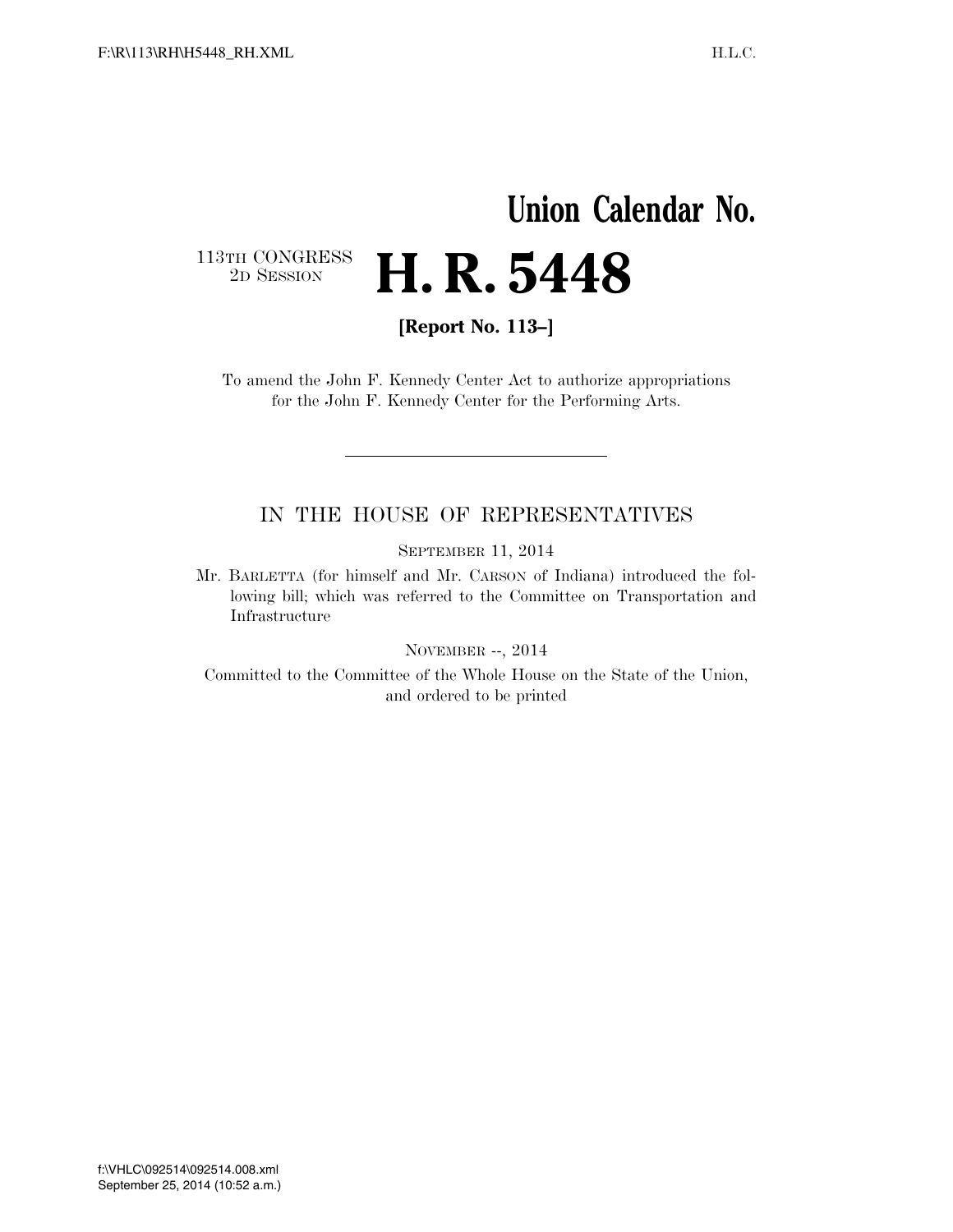## **Union Calendar No.**   $\begin{array}{c} \textbf{113TH CONGRESS} \\ \textbf{2D} \textbf{Session} \end{array}$ **H. R. 5448**

**[Report No. 113–]** 

To amend the John F. Kennedy Center Act to authorize appropriations for the John F. Kennedy Center for the Performing Arts.

## IN THE HOUSE OF REPRESENTATIVES

SEPTEMBER 11, 2014

Mr. BARLETTA (for himself and Mr. CARSON of Indiana) introduced the following bill; which was referred to the Committee on Transportation and Infrastructure

NOVEMBER --, 2014

Committed to the Committee of the Whole House on the State of the Union, and ordered to be printed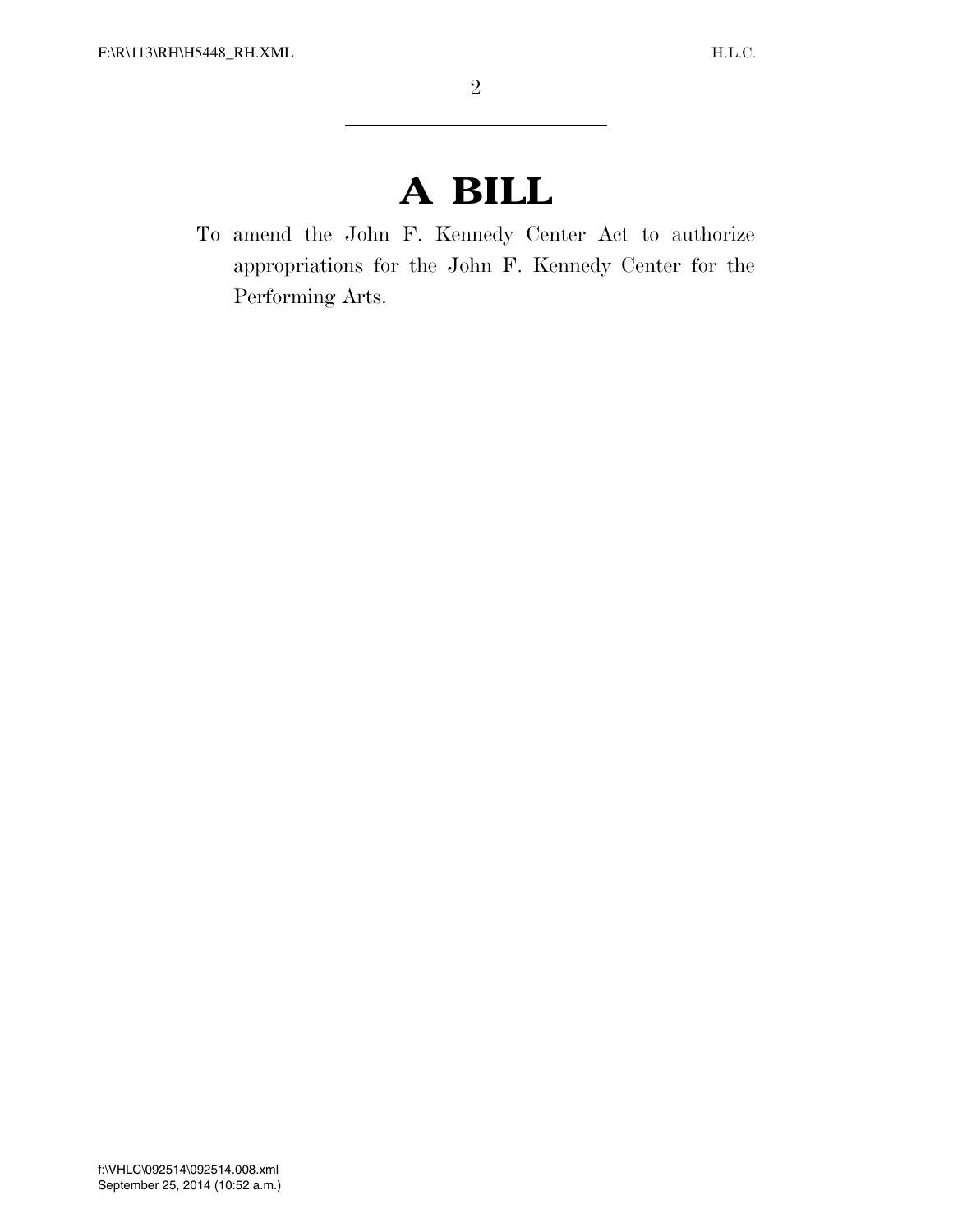## **A BILL**

To amend the John F. Kennedy Center Act to authorize appropriations for the John F. Kennedy Center for the Performing Arts.